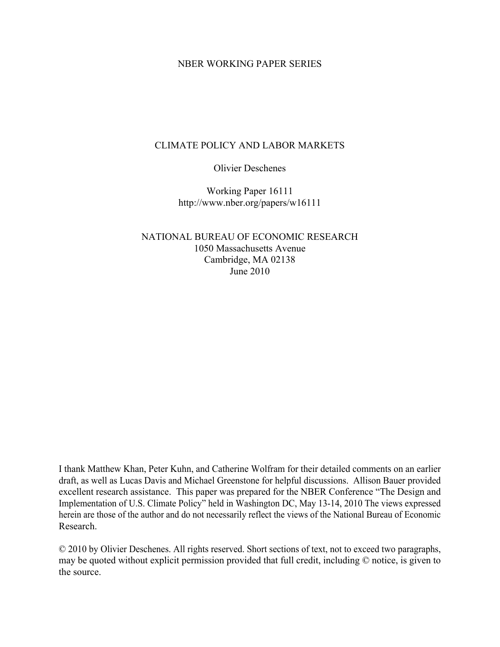#### NBER WORKING PAPER SERIES

### CLIMATE POLICY AND LABOR MARKETS

Olivier Deschenes

Working Paper 16111 http://www.nber.org/papers/w16111

NATIONAL BUREAU OF ECONOMIC RESEARCH 1050 Massachusetts Avenue Cambridge, MA 02138 June 2010

I thank Matthew Khan, Peter Kuhn, and Catherine Wolfram for their detailed comments on an earlier draft, as well as Lucas Davis and Michael Greenstone for helpful discussions. Allison Bauer provided excellent research assistance. This paper was prepared for the NBER Conference "The Design and Implementation of U.S. Climate Policy" held in Washington DC, May 13-14, 2010 The views expressed herein are those of the author and do not necessarily reflect the views of the National Bureau of Economic Research.

© 2010 by Olivier Deschenes. All rights reserved. Short sections of text, not to exceed two paragraphs, may be quoted without explicit permission provided that full credit, including © notice, is given to the source.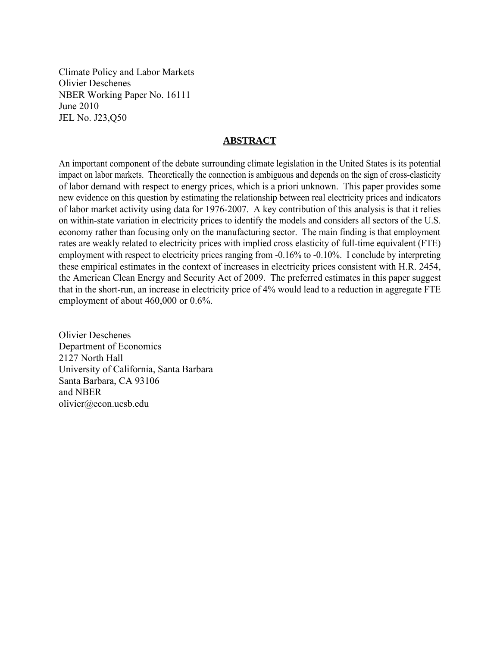Climate Policy and Labor Markets Olivier Deschenes NBER Working Paper No. 16111 June 2010 JEL No. J23,Q50

#### **ABSTRACT**

An important component of the debate surrounding climate legislation in the United States is its potential impact on labor markets. Theoretically the connection is ambiguous and depends on the sign of cross-elasticity of labor demand with respect to energy prices, which is a priori unknown. This paper provides some new evidence on this question by estimating the relationship between real electricity prices and indicators of labor market activity using data for 1976-2007. A key contribution of this analysis is that it relies on within-state variation in electricity prices to identify the models and considers all sectors of the U.S. economy rather than focusing only on the manufacturing sector. The main finding is that employment rates are weakly related to electricity prices with implied cross elasticity of full-time equivalent (FTE) employment with respect to electricity prices ranging from -0.16% to -0.10%. I conclude by interpreting these empirical estimates in the context of increases in electricity prices consistent with H.R. 2454, the American Clean Energy and Security Act of 2009. The preferred estimates in this paper suggest that in the short-run, an increase in electricity price of 4% would lead to a reduction in aggregate FTE employment of about 460,000 or 0.6%.

Olivier Deschenes Department of Economics 2127 North Hall University of California, Santa Barbara Santa Barbara, CA 93106 and NBER olivier@econ.ucsb.edu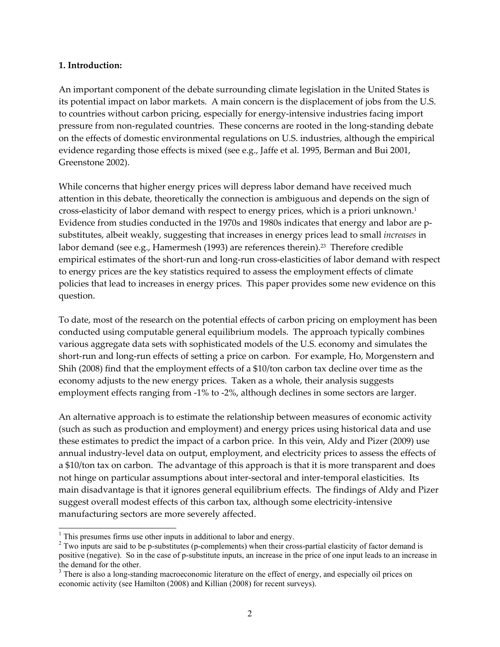#### **1. Introduction:**

An important component of the debate surrounding climate legislation in the United States is its potential impact on labor markets. A main concern is the displacement of jobs from the U.S. to countries without carbon pricing, especially for energy-intensive industries facing import pressure from non‐regulated countries. These concerns are rooted in the long‐standing debate on the effects of domestic environmental regulations on U.S. industries, although the empirical evidence regarding those effects is mixed (see e.g., Jaffe et al. 1995, Berman and Bui 2001, Greenstone 2002).

While concerns that higher energy prices will depress labor demand have received much attention in this debate, theoretically the connection is ambiguous and depends on the sign of cross-elasticity of labor demand with respect to energy prices, which is a priori unknown.<sup>1</sup> Evidence from studies conducted in the 1970s and 1980s indicates that energy and labor are p‐ substitutes, albeit weakly, suggesting that increases in energy prices lead to small *increases* in labor demand (see e.g., Hamermesh (1993) are references therein).<sup>23</sup> Therefore credible empirical estimates of the short-run and long-run cross-elasticities of labor demand with respect to energy prices are the key statistics required to assess the employment effects of climate policies that lead to increases in energy prices. This paper provides some new evidence on this question.

To date, most of the research on the potential effects of carbon pricing on employment has been conducted using computable general equilibrium models. The approach typically combines various aggregate data sets with sophisticated models of the U.S. economy and simulates the short-run and long-run effects of setting a price on carbon. For example, Ho, Morgenstern and Shih (2008) find that the employment effects of a \$10/ton carbon tax decline over time as the economy adjusts to the new energy prices. Taken as a whole, their analysis suggests employment effects ranging from -1% to -2%, although declines in some sectors are larger.

An alternative approach is to estimate the relationship between measures of economic activity (such as such as production and employment) and energy prices using historical data and use these estimates to predict the impact of a carbon price. In this vein, Aldy and Pizer (2009) use annual industry‐level data on output, employment, and electricity prices to assess the effects of a \$10/ton tax on carbon. The advantage of this approach is that it is more transparent and does not hinge on particular assumptions about inter‐sectoral and inter‐temporal elasticities. Its main disadvantage is that it ignores general equilibrium effects. The findings of Aldy and Pizer suggest overall modest effects of this carbon tax, although some electricity-intensive manufacturing sectors are more severely affected.

l

<sup>&</sup>lt;sup>1</sup> This presumes firms use other inputs in additional to labor and energy.

 $2$  Two inputs are said to be p-substitutes (p-complements) when their cross-partial elasticity of factor demand is positive (negative). So in the case of p-substitute inputs, an increase in the price of one input leads to an increase in the demand for the other.

<sup>&</sup>lt;sup>3</sup> There is also a long-standing macroeconomic literature on the effect of energy, and especially oil prices on economic activity (see Hamilton (2008) and Killian (2008) for recent surveys).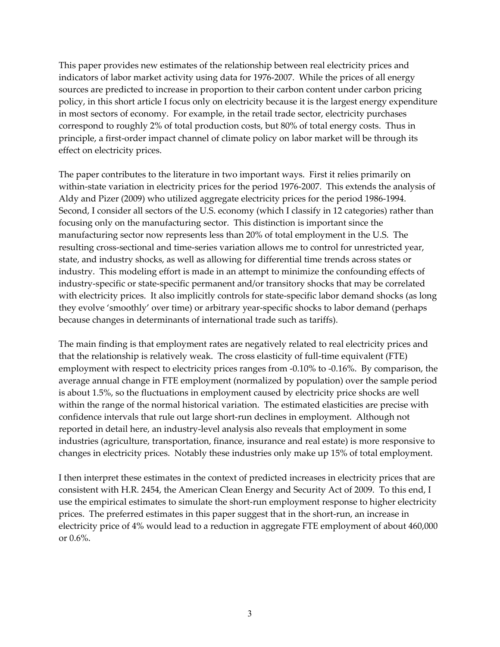This paper provides new estimates of the relationship between real electricity prices and indicators of labor market activity using data for 1976‐2007. While the prices of all energy sources are predicted to increase in proportion to their carbon content under carbon pricing policy, in this short article I focus only on electricity because it is the largest energy expenditure in most sectors of economy. For example, in the retail trade sector, electricity purchases correspond to roughly 2% of total production costs, but 80% of total energy costs. Thus in principle, a first-order impact channel of climate policy on labor market will be through its effect on electricity prices.

The paper contributes to the literature in two important ways. First it relies primarily on within-state variation in electricity prices for the period 1976-2007. This extends the analysis of Aldy and Pizer (2009) who utilized aggregate electricity prices for the period 1986‐1994. Second, I consider all sectors of the U.S. economy (which I classify in 12 categories) rather than focusing only on the manufacturing sector. This distinction is important since the manufacturing sector now represents less than 20% of total employment in the U.S. The resulting cross‐sectional and time‐series variation allows me to control for unrestricted year, state, and industry shocks, as well as allowing for differential time trends across states or industry. This modeling effort is made in an attempt to minimize the confounding effects of industry‐specific or state‐specific permanent and/or transitory shocks that may be correlated with electricity prices. It also implicitly controls for state-specific labor demand shocks (as long they evolve 'smoothly' over time) or arbitrary year-specific shocks to labor demand (perhaps because changes in determinants of international trade such as tariffs).

The main finding is that employment rates are negatively related to real electricity prices and that the relationship is relatively weak. The cross elasticity of full-time equivalent (FTE) employment with respect to electricity prices ranges from ‐0.10% to ‐0.16%. By comparison, the average annual change in FTE employment (normalized by population) over the sample period is about 1.5%, so the fluctuations in employment caused by electricity price shocks are well within the range of the normal historical variation. The estimated elasticities are precise with confidence intervals that rule out large short‐run declines in employment. Although not reported in detail here, an industry‐level analysis also reveals that employment in some industries (agriculture, transportation, finance, insurance and real estate) is more responsive to changes in electricity prices. Notably these industries only make up 15% of total employment.

I then interpret these estimates in the context of predicted increases in electricity prices that are consistent with H.R. 2454, the American Clean Energy and Security Act of 2009. To this end, I use the empirical estimates to simulate the short-run employment response to higher electricity prices. The preferred estimates in this paper suggest that in the short‐run, an increase in electricity price of 4% would lead to a reduction in aggregate FTE employment of about 460,000 or 0.6%.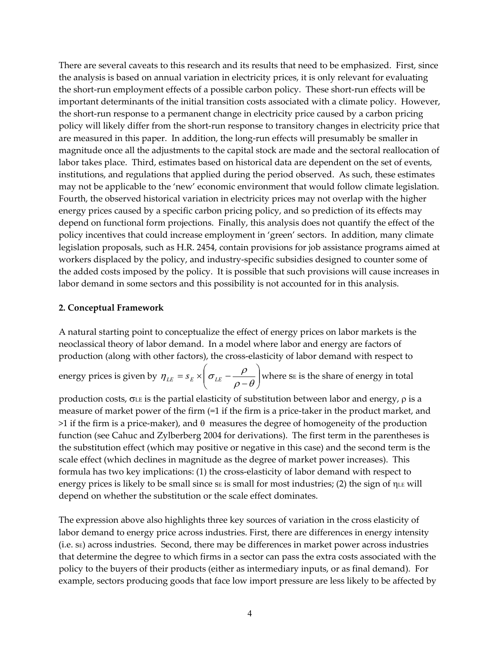There are several caveats to this research and its results that need to be emphasized. First, since the analysis is based on annual variation in electricity prices, it is only relevant for evaluating the short‐run employment effects of a possible carbon policy. These short‐run effects will be important determinants of the initial transition costs associated with a climate policy. However, the short-run response to a permanent change in electricity price caused by a carbon pricing policy will likely differ from the short‐run response to transitory changes in electricity price that are measured in this paper. In addition, the long-run effects will presumably be smaller in magnitude once all the adjustments to the capital stock are made and the sectoral reallocation of labor takes place. Third, estimates based on historical data are dependent on the set of events, institutions, and regulations that applied during the period observed. As such, these estimates may not be applicable to the 'new' economic environment that would follow climate legislation. Fourth, the observed historical variation in electricity prices may not overlap with the higher energy prices caused by a specific carbon pricing policy, and so prediction of its effects may depend on functional form projections. Finally, this analysis does not quantify the effect of the policy incentives that could increase employment in 'green' sectors. In addition, many climate legislation proposals, such as H.R. 2454, contain provisions for job assistance programs aimed at workers displaced by the policy, and industry‐specific subsidies designed to counter some of the added costs imposed by the policy. It is possible that such provisions will cause increases in labor demand in some sectors and this possibility is not accounted for in this analysis.

#### **2. Conceptual Framework**

A natural starting point to conceptualize the effect of energy prices on labor markets is the neoclassical theory of labor demand. In a model where labor and energy are factors of production (along with other factors), the cross-elasticity of labor demand with respect to

energy prices is given by  $\eta_{LE} = s_E \times \left| \sigma_{LE} - \frac{P}{\rho - \theta} \right|$  $\left(\sigma_{_{LE}}-\frac{\rho}{\rho-\theta}\right)$  $\setminus$  $\eta_{LE} = s_E \times \left(\sigma_{LE} - \frac{\rho}{\rho - \theta}\right)$  where se is the share of energy in total

production costs,  $\sigma$ LE is the partial elasticity of substitution between labor and energy,  $\rho$  is a measure of market power of the firm (=1 if the firm is a price-taker in the product market, and  $>1$  if the firm is a price-maker), and  $\theta$  measures the degree of homogeneity of the production function (see Cahuc and Zylberberg 2004 for derivations). The first term in the parentheses is the substitution effect (which may positive or negative in this case) and the second term is the scale effect (which declines in magnitude as the degree of market power increases). This formula has two key implications: (1) the cross-elasticity of labor demand with respect to energy prices is likely to be small since  $s_E$  is small for most industries; (2) the sign of  $\eta_{LE}$  will depend on whether the substitution or the scale effect dominates.

The expression above also highlights three key sources of variation in the cross elasticity of labor demand to energy price across industries. First, there are differences in energy intensity  $(i.e.$   $s_E)$  across industries. Second, there may be differences in market power across industries that determine the degree to which firms in a sector can pass the extra costs associated with the policy to the buyers of their products (either as intermediary inputs, or as final demand). For example, sectors producing goods that face low import pressure are less likely to be affected by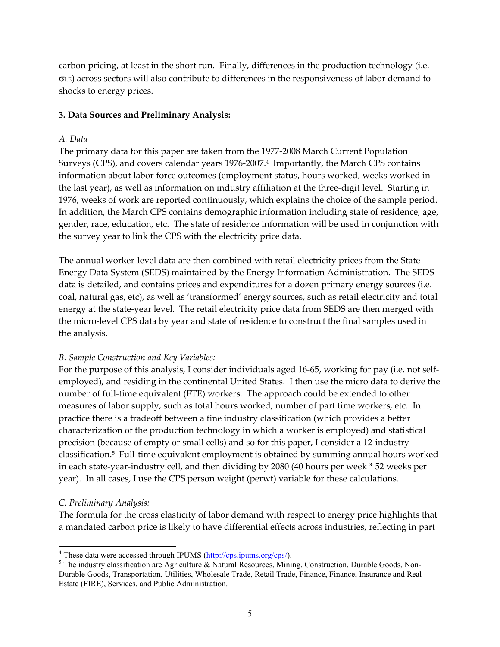carbon pricing, at least in the short run. Finally, differences in the production technology (i.e.  $\sigma$ LE) across sectors will also contribute to differences in the responsiveness of labor demand to shocks to energy prices.

### **3. Data Sources and Preliminary Analysis:**

#### *A. Data*

The primary data for this paper are taken from the 1977‐2008 March Current Population Surveys (CPS), and covers calendar years 1976‐2007.4 Importantly, the March CPS contains information about labor force outcomes (employment status, hours worked, weeks worked in the last year), as well as information on industry affiliation at the three‐digit level. Starting in 1976, weeks of work are reported continuously, which explains the choice of the sample period. In addition, the March CPS contains demographic information including state of residence, age, gender, race, education, etc. The state of residence information will be used in conjunction with the survey year to link the CPS with the electricity price data.

The annual worker-level data are then combined with retail electricity prices from the State Energy Data System (SEDS) maintained by the Energy Information Administration. The SEDS data is detailed, and contains prices and expenditures for a dozen primary energy sources (i.e. coal, natural gas, etc), as well as 'transformed' energy sources, such as retail electricity and total energy at the state-year level. The retail electricity price data from SEDS are then merged with the micro‐level CPS data by year and state of residence to construct the final samples used in the analysis.

### *B. Sample Construction and Key Variables:*

For the purpose of this analysis, I consider individuals aged 16-65, working for pay (i.e. not selfemployed), and residing in the continental United States. I then use the micro data to derive the number of full-time equivalent (FTE) workers. The approach could be extended to other measures of labor supply, such as total hours worked, number of part time workers, etc. In practice there is a tradeoff between a fine industry classification (which provides a better characterization of the production technology in which a worker is employed) and statistical precision (because of empty or small cells) and so for this paper, I consider a 12‐industry classification.<sup>5</sup> Full-time equivalent employment is obtained by summing annual hours worked in each state‐year‐industry cell, and then dividing by 2080 (40 hours per week \* 52 weeks per year). In all cases, I use the CPS person weight (perwt) variable for these calculations.

### *C. Preliminary Analysis:*

 $\overline{\phantom{a}}$ 

The formula for the cross elasticity of labor demand with respect to energy price highlights that a mandated carbon price is likely to have differential effects across industries, reflecting in part

<sup>&</sup>lt;sup>4</sup> These data were accessed through IPUMS  $(\frac{http://cps.jpums.org/cps/}{http://cps.jpums.org/cps/})$ .<sup>5</sup> The industry eleccification are A grigulture  $\&$  Natural Becourses. Minim

<sup>&</sup>lt;sup>5</sup> The industry classification are Agriculture & Natural Resources, Mining, Construction, Durable Goods, Non-Durable Goods, Transportation, Utilities, Wholesale Trade, Retail Trade, Finance, Finance, Insurance and Real Estate (FIRE), Services, and Public Administration.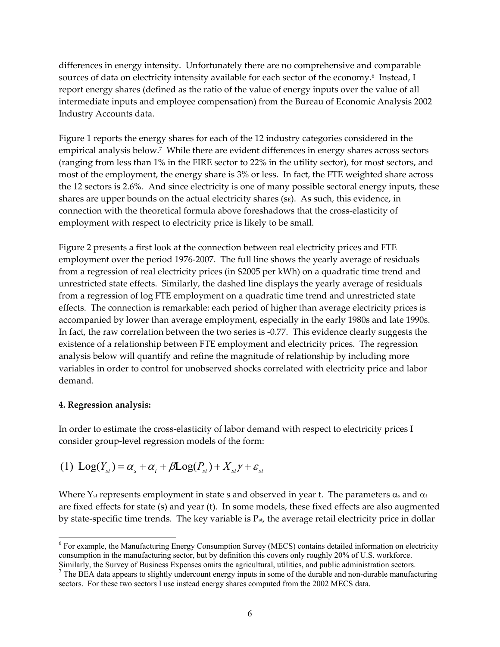differences in energy intensity. Unfortunately there are no comprehensive and comparable sources of data on electricity intensity available for each sector of the economy.<sup>6</sup> Instead, I report energy shares (defined as the ratio of the value of energy inputs over the value of all intermediate inputs and employee compensation) from the Bureau of Economic Analysis 2002 Industry Accounts data.

Figure 1 reports the energy shares for each of the 12 industry categories considered in the empirical analysis below.<sup>7</sup> While there are evident differences in energy shares across sectors (ranging from less than 1% in the FIRE sector to 22% in the utility sector), for most sectors, and most of the employment, the energy share is 3% or less. In fact, the FTE weighted share across the 12 sectors is 2.6%. And since electricity is one of many possible sectoral energy inputs, these shares are upper bounds on the actual electricity shares ( $s_E$ ). As such, this evidence, in connection with the theoretical formula above foreshadows that the cross-elasticity of employment with respect to electricity price is likely to be small.

Figure 2 presents a first look at the connection between real electricity prices and FTE employment over the period 1976‐2007. The full line shows the yearly average of residuals from a regression of real electricity prices (in \$2005 per kWh) on a quadratic time trend and unrestricted state effects. Similarly, the dashed line displays the yearly average of residuals from a regression of log FTE employment on a quadratic time trend and unrestricted state effects. The connection is remarkable: each period of higher than average electricity prices is accompanied by lower than average employment, especially in the early 1980s and late 1990s. In fact, the raw correlation between the two series is ‐0.77. This evidence clearly suggests the existence of a relationship between FTE employment and electricity prices. The regression analysis below will quantify and refine the magnitude of relationship by including more variables in order to control for unobserved shocks correlated with electricity price and labor demand.

## **4. Regression analysis:**

 $\overline{\phantom{a}}$ 

In order to estimate the cross‐elasticity of labor demand with respect to electricity prices I consider group‐level regression models of the form:

(1) 
$$
Log(Y_{st}) = \alpha_s + \alpha_t + \beta Log(P_{st}) + X_{st}\gamma + \varepsilon_{st}
$$

Where Y<sub>st</sub> represents employment in state s and observed in year t. The parameters  $\alpha_s$  and  $\alpha_t$ are fixed effects for state (s) and year (t). In some models, these fixed effects are also augmented by state-specific time trends. The key variable is  $P_{st}$ , the average retail electricity price in dollar

<sup>&</sup>lt;sup>6</sup> For example, the Manufacturing Energy Consumption Survey (MECS) contains detailed information on electricity consumption in the manufacturing sector, but by definition this covers only roughly 20% of U.S. workforce.

Similarly, the Survey of Business Expenses omits the agricultural, utilities, and public administration sectors.<br><sup>7</sup> The BEA data appears to slightly undercount energy inputs in some of the durable and non-durable manufac sectors. For these two sectors I use instead energy shares computed from the 2002 MECS data.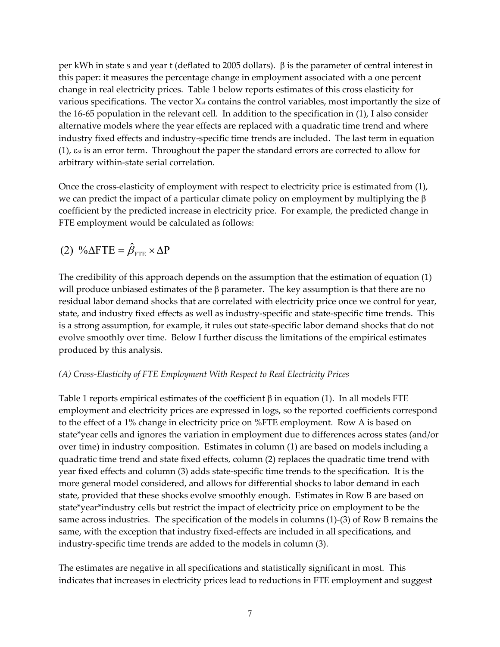per kWh in state s and year t (deflated to 2005 dollars).  $\beta$  is the parameter of central interest in this paper: it measures the percentage change in employment associated with a one percent change in real electricity prices. Table 1 below reports estimates of this cross elasticity for various specifications. The vector  $X<sub>st</sub>$  contains the control variables, most importantly the size of the 16‐65 population in the relevant cell. In addition to the specification in (1), I also consider alternative models where the year effects are replaced with a quadratic time trend and where industry fixed effects and industry‐specific time trends are included. The last term in equation  $(1)$ ,  $\varepsilon$ <sub>st</sub> is an error term. Throughout the paper the standard errors are corrected to allow for arbitrary within‐state serial correlation.

Once the cross-elasticity of employment with respect to electricity price is estimated from  $(1)$ , we can predict the impact of a particular climate policy on employment by multiplying the  $\beta$ coefficient by the predicted increase in electricity price. For example, the predicted change in FTE employment would be calculated as follows:

(2) 
$$
\% \Delta FTE = \hat{\beta}_{FTE} \times \Delta P
$$

The credibility of this approach depends on the assumption that the estimation of equation (1) will produce unbiased estimates of the  $\beta$  parameter. The key assumption is that there are no residual labor demand shocks that are correlated with electricity price once we control for year, state, and industry fixed effects as well as industry‐specific and state‐specific time trends. This is a strong assumption, for example, it rules out state‐specific labor demand shocks that do not evolve smoothly over time. Below I further discuss the limitations of the empirical estimates produced by this analysis.

## *(A) Cross‐Elasticity of FTE Employment With Respect to Real Electricity Prices*

Table 1 reports empirical estimates of the coefficient  $\beta$  in equation (1). In all models FTE employment and electricity prices are expressed in logs, so the reported coefficients correspond to the effect of a 1% change in electricity price on %FTE employment. Row A is based on state\*year cells and ignores the variation in employment due to differences across states (and/or over time) in industry composition. Estimates in column (1) are based on models including a quadratic time trend and state fixed effects, column (2) replaces the quadratic time trend with year fixed effects and column (3) adds state‐specific time trends to the specification. It is the more general model considered, and allows for differential shocks to labor demand in each state, provided that these shocks evolve smoothly enough. Estimates in Row B are based on state\*year\*industry cells but restrict the impact of electricity price on employment to be the same across industries. The specification of the models in columns (1)‐(3) of Row B remains the same, with the exception that industry fixed-effects are included in all specifications, and industry‐specific time trends are added to the models in column (3).

The estimates are negative in all specifications and statistically significant in most. This indicates that increases in electricity prices lead to reductions in FTE employment and suggest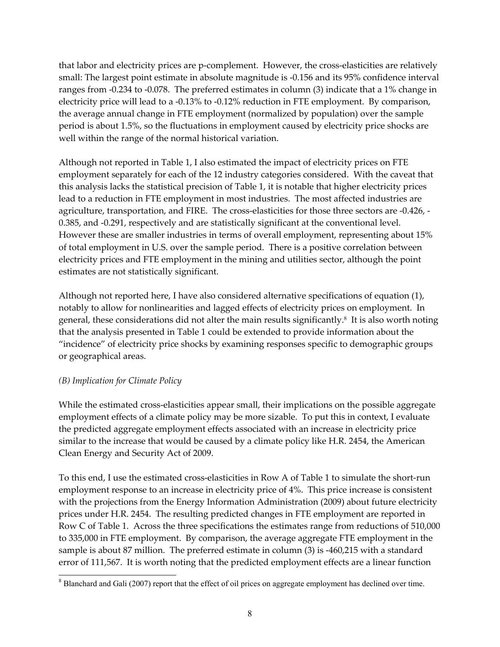that labor and electricity prices are p-complement. However, the cross-elasticities are relatively small: The largest point estimate in absolute magnitude is ‐0.156 and its 95% confidence interval ranges from ‐0.234 to ‐0.078. The preferred estimates in column (3) indicate that a 1% change in electricity price will lead to a ‐0.13% to ‐0.12% reduction in FTE employment. By comparison, the average annual change in FTE employment (normalized by population) over the sample period is about 1.5%, so the fluctuations in employment caused by electricity price shocks are well within the range of the normal historical variation.

Although not reported in Table 1, I also estimated the impact of electricity prices on FTE employment separately for each of the 12 industry categories considered. With the caveat that this analysis lacks the statistical precision of Table 1, it is notable that higher electricity prices lead to a reduction in FTE employment in most industries. The most affected industries are agriculture, transportation, and FIRE. The cross-elasticities for those three sectors are -0.426, -0.385, and ‐0.291, respectively and are statistically significant at the conventional level. However these are smaller industries in terms of overall employment, representing about 15% of total employment in U.S. over the sample period. There is a positive correlation between electricity prices and FTE employment in the mining and utilities sector, although the point estimates are not statistically significant.

Although not reported here, I have also considered alternative specifications of equation (1), notably to allow for nonlinearities and lagged effects of electricity prices on employment. In general, these considerations did not alter the main results significantly.8 It is also worth noting that the analysis presented in Table 1 could be extended to provide information about the "incidence" of electricity price shocks by examining responses specific to demographic groups or geographical areas.

### *(B) Implication for Climate Policy*

While the estimated cross-elasticities appear small, their implications on the possible aggregate employment effects of a climate policy may be more sizable. To put this in context, I evaluate the predicted aggregate employment effects associated with an increase in electricity price similar to the increase that would be caused by a climate policy like H.R. 2454, the American Clean Energy and Security Act of 2009.

To this end, I use the estimated cross‐elasticities in Row A of Table 1 to simulate the short‐run employment response to an increase in electricity price of 4%. This price increase is consistent with the projections from the Energy Information Administration (2009) about future electricity prices under H.R. 2454. The resulting predicted changes in FTE employment are reported in Row C of Table 1. Across the three specifications the estimates range from reductions of 510,000 to 335,000 in FTE employment. By comparison, the average aggregate FTE employment in the sample is about 87 million. The preferred estimate in column (3) is -460,215 with a standard error of 111,567. It is worth noting that the predicted employment effects are a linear function

 $\overline{\phantom{a}}$  $8$  Blanchard and Gali (2007) report that the effect of oil prices on aggregate employment has declined over time.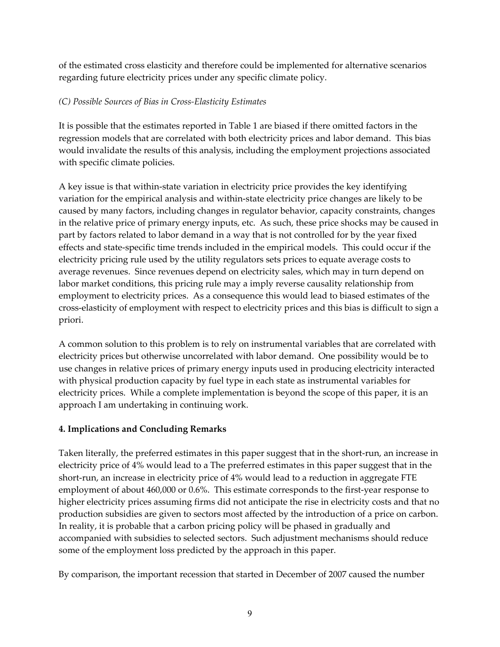of the estimated cross elasticity and therefore could be implemented for alternative scenarios regarding future electricity prices under any specific climate policy.

## *(C) Possible Sources of Bias in Cross‐Elasticity Estimates*

It is possible that the estimates reported in Table 1 are biased if there omitted factors in the regression models that are correlated with both electricity prices and labor demand. This bias would invalidate the results of this analysis, including the employment projections associated with specific climate policies.

A key issue is that within‐state variation in electricity price provides the key identifying variation for the empirical analysis and within‐state electricity price changes are likely to be caused by many factors, including changes in regulator behavior, capacity constraints, changes in the relative price of primary energy inputs, etc. As such, these price shocks may be caused in part by factors related to labor demand in a way that is not controlled for by the year fixed effects and state‐specific time trends included in the empirical models. This could occur if the electricity pricing rule used by the utility regulators sets prices to equate average costs to average revenues. Since revenues depend on electricity sales, which may in turn depend on labor market conditions, this pricing rule may a imply reverse causality relationship from employment to electricity prices. As a consequence this would lead to biased estimates of the cross‐elasticity of employment with respect to electricity prices and this bias is difficult to sign a priori.

A common solution to this problem is to rely on instrumental variables that are correlated with electricity prices but otherwise uncorrelated with labor demand. One possibility would be to use changes in relative prices of primary energy inputs used in producing electricity interacted with physical production capacity by fuel type in each state as instrumental variables for electricity prices. While a complete implementation is beyond the scope of this paper, it is an approach I am undertaking in continuing work.

# **4. Implications and Concluding Remarks**

Taken literally, the preferred estimates in this paper suggest that in the short-run, an increase in electricity price of 4% would lead to a The preferred estimates in this paper suggest that in the short-run, an increase in electricity price of 4% would lead to a reduction in aggregate FTE employment of about 460,000 or 0.6%. This estimate corresponds to the first-year response to higher electricity prices assuming firms did not anticipate the rise in electricity costs and that no production subsidies are given to sectors most affected by the introduction of a price on carbon. In reality, it is probable that a carbon pricing policy will be phased in gradually and accompanied with subsidies to selected sectors. Such adjustment mechanisms should reduce some of the employment loss predicted by the approach in this paper.

By comparison, the important recession that started in December of 2007 caused the number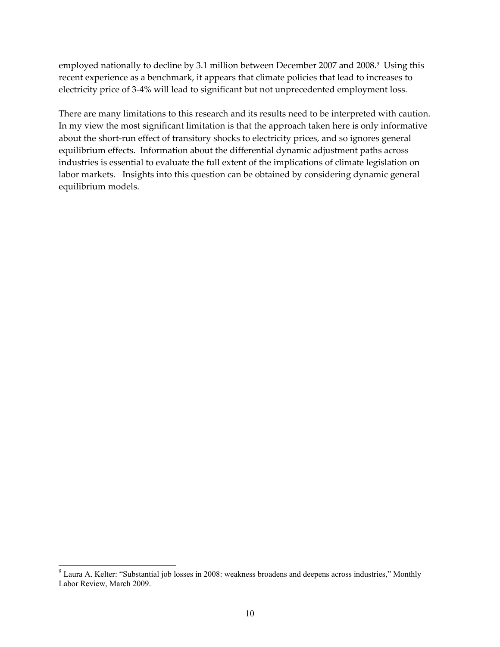employed nationally to decline by 3.1 million between December 2007 and 2008.<sup>9</sup> Using this recent experience as a benchmark, it appears that climate policies that lead to increases to electricity price of 3‐4% will lead to significant but not unprecedented employment loss.

There are many limitations to this research and its results need to be interpreted with caution. In my view the most significant limitation is that the approach taken here is only informative about the short-run effect of transitory shocks to electricity prices, and so ignores general equilibrium effects. Information about the differential dynamic adjustment paths across industries is essential to evaluate the full extent of the implications of climate legislation on labor markets. Insights into this question can be obtained by considering dynamic general equilibrium models.

 $\overline{\phantom{a}}$ 

<sup>&</sup>lt;sup>9</sup> Laura A. Kelter: "Substantial job losses in 2008: weakness broadens and deepens across industries," Monthly Labor Review, March 2009.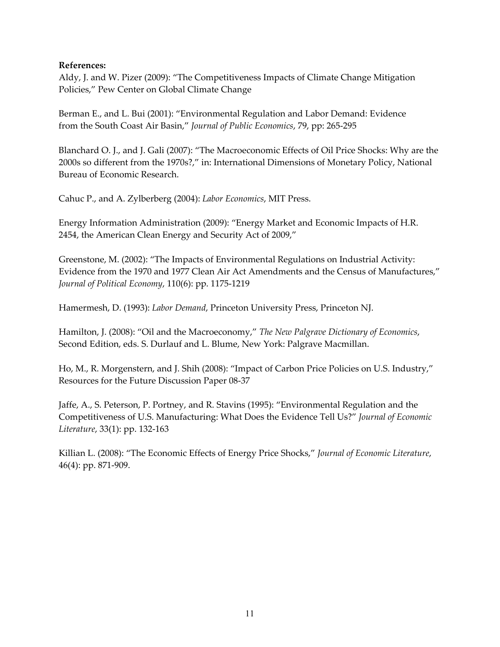### **References:**

Aldy, J. and W. Pizer (2009): "The Competitiveness Impacts of Climate Change Mitigation Policies," Pew Center on Global Climate Change

Berman E., and L. Bui (2001): "Environmental Regulation and Labor Demand: Evidence from the South Coast Air Basin," *Journal of Public Economics*, 79, pp: 265‐295

Blanchard O. J., and J. Gali (2007): "The Macroeconomic Effects of Oil Price Shocks: Why are the 2000s so different from the 1970s?," in: International Dimensions of Monetary Policy, National Bureau of Economic Research.

Cahuc P., and A. Zylberberg (2004): *Labor Economics*, MIT Press.

Energy Information Administration (2009): "Energy Market and Economic Impacts of H.R. 2454, the American Clean Energy and Security Act of 2009,"

Greenstone, M. (2002): "The Impacts of Environmental Regulations on Industrial Activity: Evidence from the 1970 and 1977 Clean Air Act Amendments and the Census of Manufactures," *Journal of Political Economy*, 110(6): pp. 1175‐1219

Hamermesh, D. (1993): *Labor Demand*, Princeton University Press, Princeton NJ.

Hamilton, J. (2008): "Oil and the Macroeconomy," *The New Palgrave Dictionary of Economics*, Second Edition, eds. S. Durlauf and L. Blume, New York: Palgrave Macmillan.

Ho, M., R. Morgenstern, and J. Shih (2008): "Impact of Carbon Price Policies on U.S. Industry," Resources for the Future Discussion Paper 08‐37

Jaffe, A., S. Peterson, P. Portney, and R. Stavins (1995): "Environmental Regulation and the Competitiveness of U.S. Manufacturing: What Does the Evidence Tell Us?" *Journal of Economic Literature*, 33(1): pp. 132‐163

Killian L. (2008): "The Economic Effects of Energy Price Shocks," *Journal of Economic Literature*, 46(4): pp. 871‐909.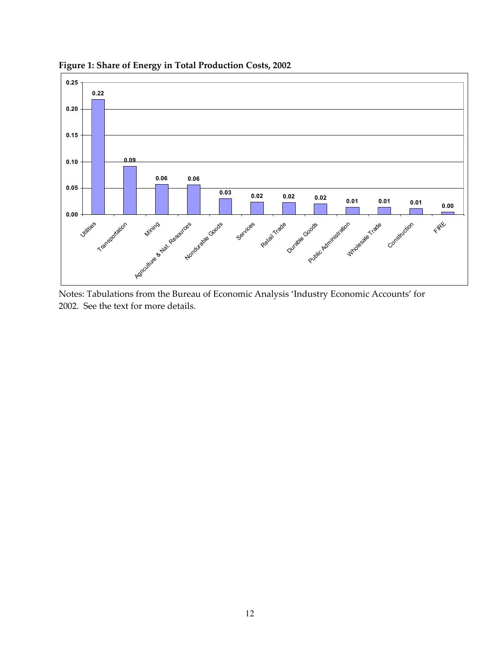

**Figure 1: Share of Energy in Total Production Costs, 2002**

Notes: Tabulations from the Bureau of Economic Analysis 'Industry Economic Accounts' for 2002. See the text for more details.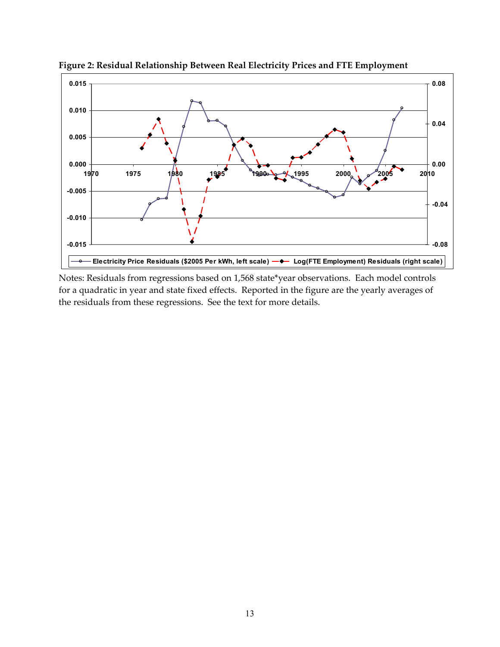

**Figure 2: Residual Relationship Between Real Electricity Prices and FTE Employment**

Notes: Residuals from regressions based on 1,568 state\*year observations. Each model controls for a quadratic in year and state fixed effects. Reported in the figure are the yearly averages of the residuals from these regressions. See the text for more details.